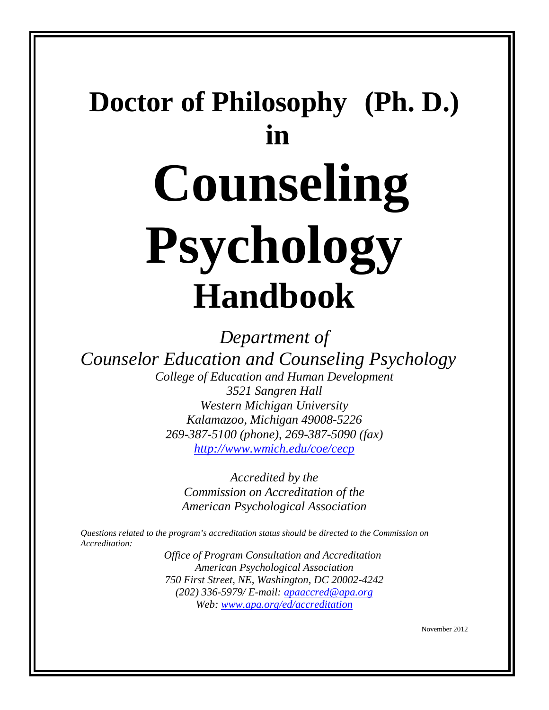# **Doctor of Philosophy (Ph. D.) in Counseling Psychology Handbook**

*Department of*

*Counselor Education and Counseling Psychology*

*College of Education and Human Development 3521 Sangren Hall Western Michigan University Kalamazoo, Michigan 49008-5226 269-387-5100 (phone), 269-387-5090 (fax) [http://www.wmich.edu/coe/cecp](http://www.wmich.edu/cecp)*

> *Accredited by the Commission on Accreditation of the American Psychological Association*

*Questions related to the program's accreditation status should be directed to the Commission on Accreditation:*

> *Office of Program Consultation and Accreditation American Psychological Association 750 First Street, NE, Washington, DC 20002-4242 (202) 336-5979/ E-mail: [apaaccred@apa.org](mailto:apaaccred@apa.org) Web: [www.apa.org/ed/accreditation](http://www.apa.org/ed/accreditation)*

> > November 2012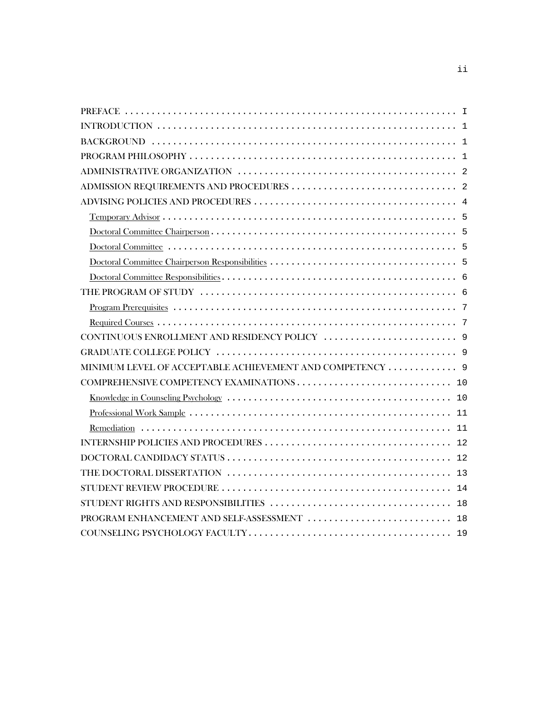| MINIMUM LEVEL OF ACCEPTABLE ACHIEVEMENT AND COMPETENCY  9 |
|-----------------------------------------------------------|
|                                                           |
|                                                           |
|                                                           |
|                                                           |
|                                                           |
|                                                           |
|                                                           |
|                                                           |
|                                                           |
|                                                           |
|                                                           |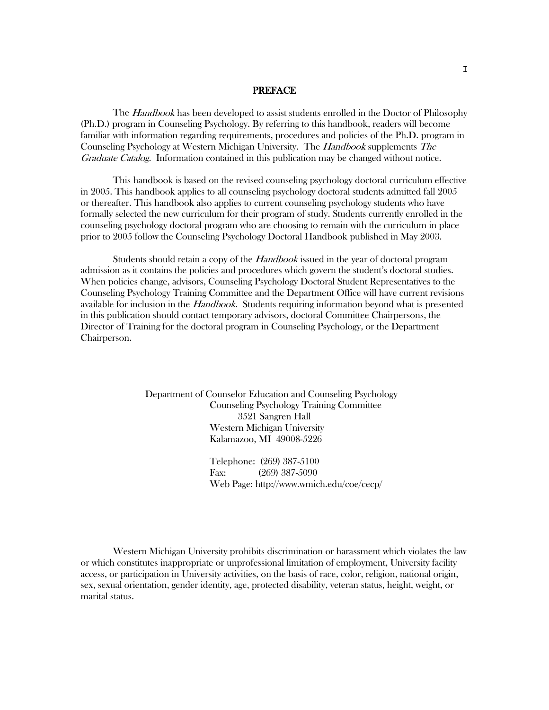#### PREFACE

The *Handbook* has been developed to assist students enrolled in the Doctor of Philosophy (Ph.D.) program in Counseling Psychology. By referring to this handbook, readers will become familiar with information regarding requirements, procedures and policies of the Ph.D. program in Counseling Psychology at Western Michigan University. The Handbook supplements The Graduate Catalog. Information contained in this publication may be changed without notice.

This handbook is based on the revised counseling psychology doctoral curriculum effective in 2005. This handbook applies to all counseling psychology doctoral students admitted fall 2005 or thereafter. This handbook also applies to current counseling psychology students who have formally selected the new curriculum for their program of study. Students currently enrolled in the counseling psychology doctoral program who are choosing to remain with the curriculum in place prior to 2005 follow the Counseling Psychology Doctoral Handbook published in May 2003.

Students should retain a copy of the Handbook issued in the year of doctoral program admission as it contains the policies and procedures which govern the student's doctoral studies. When policies change, advisors, Counseling Psychology Doctoral Student Representatives to the Counseling Psychology Training Committee and the Department Office will have current revisions available for inclusion in the *Handbook*. Students requiring information beyond what is presented in this publication should contact temporary advisors, doctoral Committee Chairpersons, the Director of Training for the doctoral program in Counseling Psychology, or the Department Chairperson.

> Department of Counselor Education and Counseling Psychology Counseling Psychology Training Committee 3521 Sangren Hall Western Michigan University Kalamazoo, MI 49008-5226

> > Telephone: (269) 387-5100 Fax: (269) 387-5090 Web Page: http://www.wmich.edu/coe/cecp/

Western Michigan University prohibits discrimination or harassment which violates the law or which constitutes inappropriate or unprofessional limitation of employment, University facility access, or participation in University activities, on the basis of race, color, religion, national origin, sex, sexual orientation, gender identity, age, protected disability, veteran status, height, weight, or marital status.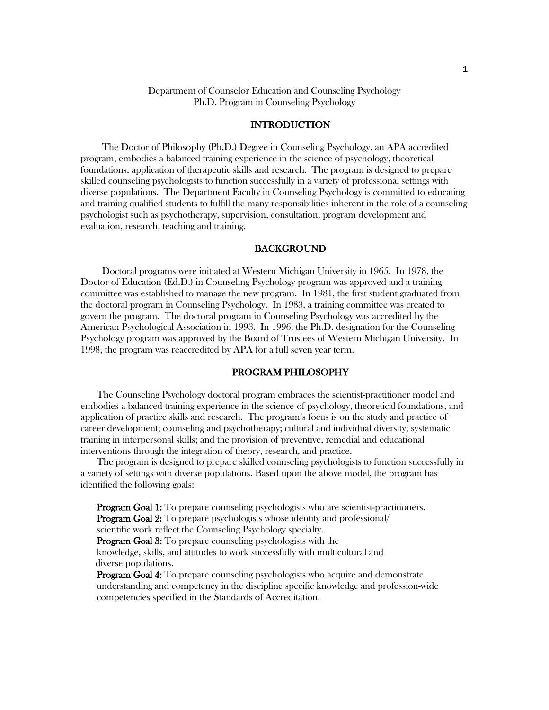## Department of Counselor Education and Counseling Psychology Ph.D. Program in Counseling Psychology

## INTRODUCTION

The Doctor of Philosophy (Ph.D.) Degree in Counseling Psychology, an APA accredited program, embodies a balanced training experience in the science of psychology, theoretical foundations, application of therapeutic skills and research. The program is designed to prepare skilled counseling psychologists to function successfully in a variety of professional settings with diverse populations. The Department Faculty in Counseling Psychology is committed to educating and training qualified students to fulfill the many responsibilities inherent in the role of a counseling psychologist such as psychotherapy, supervision, consultation, program development and evaluation, research, teaching and training.

#### BACKGROUND

Doctoral programs were initiated at Western Michigan University in 1965. In 1978, the Doctor of Education (Ed.D.) in Counseling Psychology program was approved and a training committee was established to manage the new program. In 1981, the first student graduated from the doctoral program in Counseling Psychology. In 1983, a training committee was created to govern the program. The doctoral program in Counseling Psychology was accredited by the American Psychological Association in 1993. In 1996, the Ph.D. designation for the Counseling Psychology program was approved by the Board of Trustees of Western Michigan University. In 1998, the program was reaccredited by APA for a full seven year term.

## PROGRAM PHILOSOPHY

The Counseling Psychology doctoral program embraces the scientist-practitioner model and embodies a balanced training experience in the science of psychology, theoretical foundations, and application of practice skills and research. The program's focus is on the study and practice of career development; counseling and psychotherapy; cultural and individual diversity; systematic training in interpersonal skills; and the provision of preventive, remedial and educational interventions through the integration of theory, research, and practice.

The program is designed to prepare skilled counseling psychologists to function successfully in a variety of settings with diverse populations. Based upon the above model, the program has identified the following goals:

Program Goal 1: To prepare counseling psychologists who are scientist-practitioners. **Program Goal 2:** To prepare psychologists whose identity and professional/

scientific work reflect the Counseling Psychology specialty.

**Program Goal 3:** To prepare counseling psychologists with the

knowledge, skills, and attitudes to work successfully with multicultural and diverse populations.

Program Goal 4: To prepare counseling psychologists who acquire and demonstrate understanding and competency in the discipline specific knowledge and profession-wide competencies specified in the Standards of Accreditation.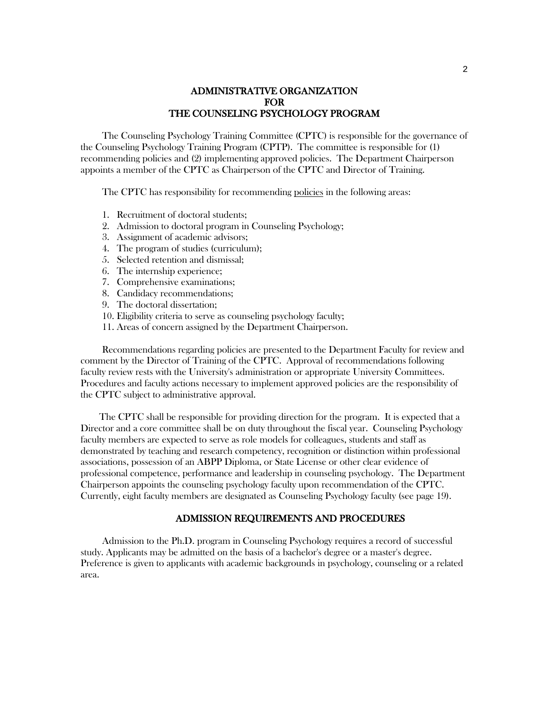# ADMINISTRATIVE ORGANIZATION FOR THE COUNSELING PSYCHOLOGY PROGRAM

The Counseling Psychology Training Committee (CPTC) is responsible for the governance of the Counseling Psychology Training Program (CPTP). The committee is responsible for (1) recommending policies and (2) implementing approved policies. The Department Chairperson appoints a member of the CPTC as Chairperson of the CPTC and Director of Training.

The CPTC has responsibility for recommending policies in the following areas:

- 1. Recruitment of doctoral students;
- 2. Admission to doctoral program in Counseling Psychology;
- 3. Assignment of academic advisors;
- 4. The program of studies (curriculum);
- 5. Selected retention and dismissal;
- 6. The internship experience;
- 7. Comprehensive examinations;
- 8. Candidacy recommendations;
- 9. The doctoral dissertation;
- 10. Eligibility criteria to serve as counseling psychology faculty;
- 11. Areas of concern assigned by the Department Chairperson.

Recommendations regarding policies are presented to the Department Faculty for review and comment by the Director of Training of the CPTC. Approval of recommendations following faculty review rests with the University's administration or appropriate University Committees. Procedures and faculty actions necessary to implement approved policies are the responsibility of the CPTC subject to administrative approval.

The CPTC shall be responsible for providing direction for the program. It is expected that a Director and a core committee shall be on duty throughout the fiscal year. Counseling Psychology faculty members are expected to serve as role models for colleagues, students and staff as demonstrated by teaching and research competency, recognition or distinction within professional associations, possession of an ABPP Diploma, or State License or other clear evidence of professional competence, performance and leadership in counseling psychology. The Department Chairperson appoints the counseling psychology faculty upon recommendation of the CPTC. Currently, eight faculty members are designated as Counseling Psychology faculty (see page 19).

## ADMISSION REQUIREMENTS AND PROCEDURES

Admission to the Ph.D. program in Counseling Psychology requires a record of successful study. Applicants may be admitted on the basis of a bachelor's degree or a master's degree. Preference is given to applicants with academic backgrounds in psychology, counseling or a related area.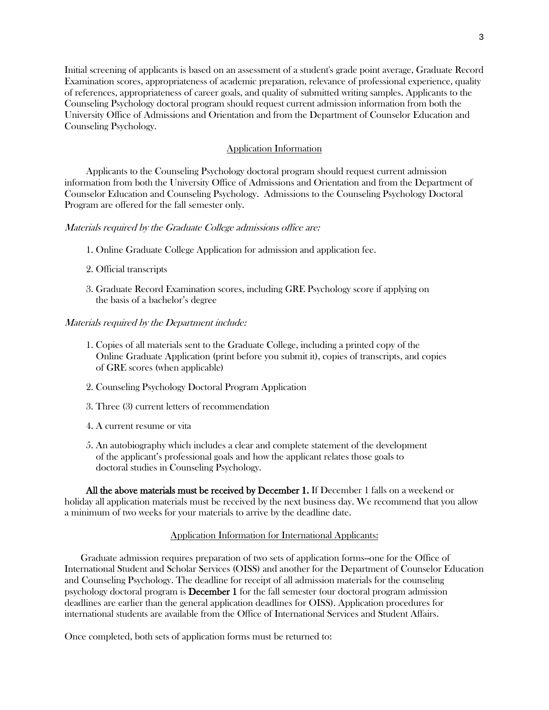Initial screening of applicants is based on an assessment of a student's grade point average, Graduate Record Examination scores, appropriateness of academic preparation, relevance of professional experience, quality of references, appropriateness of career goals, and quality of submitted writing samples. Applicants to the Counseling Psychology doctoral program should request current admission information from both the University Office of Admissions and Orientation and from the Department of Counselor Education and Counseling Psychology.

## Application Information

Applicants to the Counseling Psychology doctoral program should request current admission information from both the University Office of Admissions and Orientation and from the Department of Counselor Education and Counseling Psychology. Admissions to the Counseling Psychology Doctoral Program are offered for the fall semester only.

Materials required by the Graduate College admissions office are:

- 1. Online Graduate College Application for admission and application fee.
- 2. Official transcripts
- 3. Graduate Record Examination scores, including GRE Psychology score if applying on the basis of a bachelor's degree

#### Materials required by the Department include:

- 1. Copies of all materials sent to the Graduate College, including a printed copy of the Online Graduate Application (print before you submit it), copies of transcripts, and copies of GRE scores (when applicable)
- 2. Counseling Psychology Doctoral Program Application
- 3. Three (3) current letters of recommendation
- 4. A current resume or vita
- 5. An autobiography which includes a clear and complete statement of the development of the applicant's professional goals and how the applicant relates those goals to doctoral studies in Counseling Psychology.

All the above materials must be received by December 1. If December 1 falls on a weekend or holiday all application materials must be received by the next business day. We recommend that you allow a minimum of two weeks for your materials to arrive by the deadline date.

#### Application Information for International Applicants:

Graduate admission requires preparation of two sets of application forms--one for the Office of International Student and Scholar Services (OISS) and another for the Department of Counselor Education and Counseling Psychology. The deadline for receipt of all admission materials for the counseling psychology doctoral program is December 1 for the fall semester (our doctoral program admission deadlines are earlier than the general application deadlines for OISS). Application procedures for international students are available from the [Office of International Services and Student Affairs.](http://international.wmich.edu/content/section/9/177/)

Once completed, both sets of application forms must be returned to: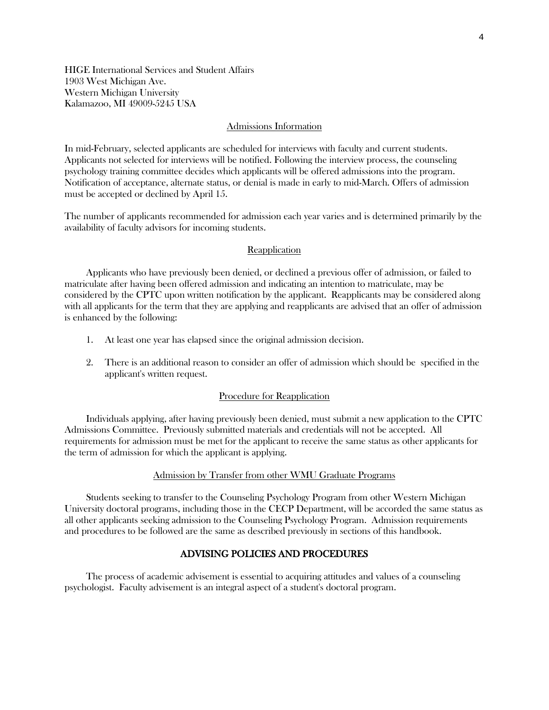HIGE International Services and Student Affairs 1903 West Michigan Ave. Western Michigan University Kalamazoo, MI 49009-5245 USA

#### Admissions Information

In mid-February, selected applicants are scheduled for interviews with faculty and current students. Applicants not selected for interviews will be notified. Following the interview process, the counseling psychology training committee decides which applicants will be offered admissions into the program. Notification of acceptance, alternate status, or denial is made in early to mid-March. Offers of admission must be accepted or declined by April 15.

The number of applicants recommended for admission each year varies and is determined primarily by the availability of faculty advisors for incoming students.

## Reapplication

Applicants who have previously been denied, or declined a previous offer of admission, or failed to matriculate after having been offered admission and indicating an intention to matriculate, may be considered by the CPTC upon written notification by the applicant. Reapplicants may be considered along with all applicants for the term that they are applying and reapplicants are advised that an offer of admission is enhanced by the following:

- 1. At least one year has elapsed since the original admission decision.
- 2. There is an additional reason to consider an offer of admission which should be specified in the applicant's written request.

## Procedure for Reapplication

Individuals applying, after having previously been denied, must submit a new application to the CPTC Admissions Committee. Previously submitted materials and credentials will not be accepted. All requirements for admission must be met for the applicant to receive the same status as other applicants for the term of admission for which the applicant is applying.

#### Admission by Transfer from other WMU Graduate Programs

Students seeking to transfer to the Counseling Psychology Program from other Western Michigan University doctoral programs, including those in the CECP Department, will be accorded the same status as all other applicants seeking admission to the Counseling Psychology Program. Admission requirements and procedures to be followed are the same as described previously in sections of this handbook.

# ADVISING POLICIES AND PROCEDURES

The process of academic advisement is essential to acquiring attitudes and values of a counseling psychologist. Faculty advisement is an integral aspect of a student's doctoral program.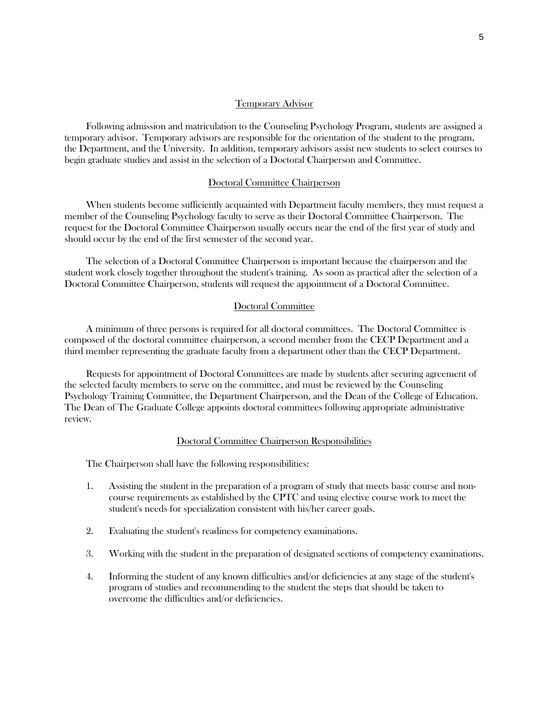## Temporary Advisor

Following admission and matriculation to the Counseling Psychology Program, students are assigned a temporary advisor. Temporary advisors are responsible for the orientation of the student to the program, the Department, and the University. In addition, temporary advisors assist new students to select courses to begin graduate studies and assist in the selection of a Doctoral Chairperson and Committee.

## Doctoral Committee Chairperson

When students become sufficiently acquainted with Department faculty members, they must request a member of the Counseling Psychology faculty to serve as their Doctoral Committee Chairperson. The request for the Doctoral Committee Chairperson usually occurs near the end of the first year of study and should occur by the end of the first semester of the second year.

The selection of a Doctoral Committee Chairperson is important because the chairperson and the student work closely together throughout the student's training. As soon as practical after the selection of a Doctoral Committee Chairperson, students will request the appointment of a Doctoral Committee.

## Doctoral Committee

A minimum of three persons is required for all doctoral committees. The Doctoral Committee is composed of the doctoral committee chairperson, a second member from the CECP Department and a third member representing the graduate faculty from a department other than the CECP Department.

Requests for appointment of Doctoral Committees are made by students after securing agreement of the selected faculty members to serve on the committee, and must be reviewed by the Counseling Psychology Training Committee, the Department Chairperson, and the Dean of the College of Education. The Dean of The Graduate College appoints doctoral committees following appropriate administrative review.

## Doctoral Committee Chairperson Responsibilities

The Chairperson shall have the following responsibilities:

- 1. Assisting the student in the preparation of a program of study that meets basic course and noncourse requirements as established by the CPTC and using elective course work to meet the student's needs for specialization consistent with his/her career goals.
- 2. Evaluating the student's readiness for competency examinations.
- 3. Working with the student in the preparation of designated sections of competency examinations.
- 4. Informing the student of any known difficulties and/or deficiencies at any stage of the student's program of studies and recommending to the student the steps that should be taken to overcome the difficulties and/or deficiencies.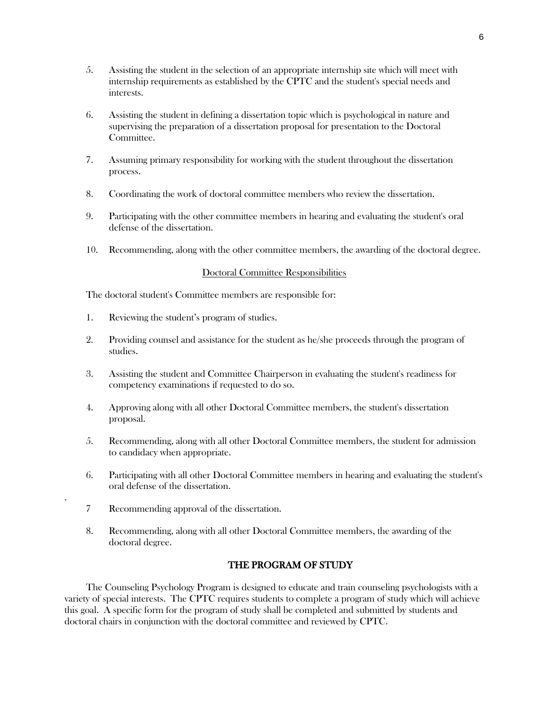- 5. Assisting the student in the selection of an appropriate internship site which will meet with internship requirements as established by the CPTC and the student's special needs and interests.
- 6. Assisting the student in defining a dissertation topic which is psychological in nature and supervising the preparation of a dissertation proposal for presentation to the Doctoral Committee.
- 7. Assuming primary responsibility for working with the student throughout the dissertation process.
- 8. Coordinating the work of doctoral committee members who review the dissertation.
- 9. Participating with the other committee members in hearing and evaluating the student's oral defense of the dissertation.
- 10. Recommending, along with the other committee members, the awarding of the doctoral degree.

## Doctoral Committee Responsibilities

The doctoral student's Committee members are responsible for:

- 1. Reviewing the student's program of studies.
- 2. Providing counsel and assistance for the student as he/she proceeds through the program of studies.
- 3. Assisting the student and Committee Chairperson in evaluating the student's readiness for competency examinations if requested to do so.
- 4. Approving along with all other Doctoral Committee members, the student's dissertation proposal.
- 5. Recommending, along with all other Doctoral Committee members, the student for admission to candidacy when appropriate.
- 6. Participating with all other Doctoral Committee members in hearing and evaluating the student's oral defense of the dissertation.
- 7 Recommending approval of the dissertation.

.

8. Recommending, along with all other Doctoral Committee members, the awarding of the doctoral degree.

## THE PROGRAM OF STUDY

The Counseling Psychology Program is designed to educate and train counseling psychologists with a variety of special interests. The CPTC requires students to complete a program of study which will achieve this goal. A specific form for the program of study shall be completed and submitted by students and doctoral chairs in conjunction with the doctoral committee and reviewed by CPTC.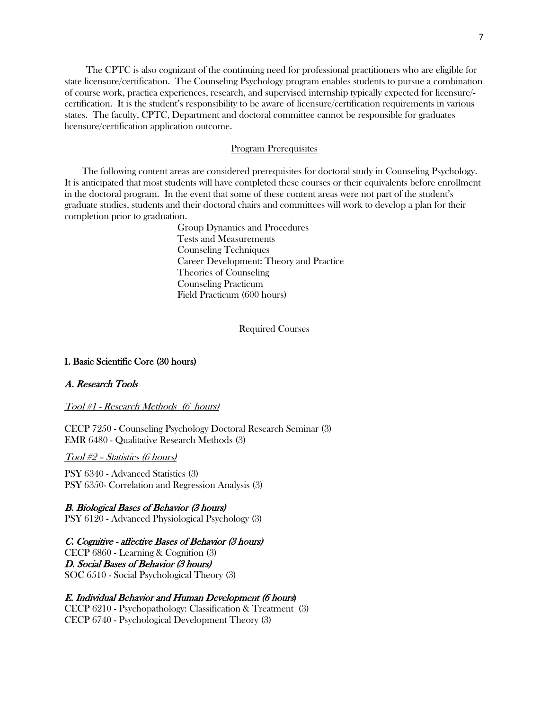The CPTC is also cognizant of the continuing need for professional practitioners who are eligible for state licensure/certification. The Counseling Psychology program enables students to pursue a combination of course work, practica experiences, research, and supervised internship typically expected for licensure/ certification. It is the student's responsibility to be aware of licensure/certification requirements in various states. The faculty, CPTC, Department and doctoral committee cannot be responsible for graduates' licensure/certification application outcome.

#### Program Prerequisites

 The following content areas are considered prerequisites for doctoral study in Counseling Psychology. It is anticipated that most students will have completed these courses or their equivalents before enrollment in the doctoral program. In the event that some of these content areas were not part of the student's graduate studies, students and their doctoral chairs and committees will work to develop a plan for their completion prior to graduation.

> Group Dynamics and Procedures Tests and Measurements Counseling Techniques Career Development: Theory and Practice Theories of Counseling Counseling Practicum Field Practicum (600 hours)

#### Required Courses

## I. Basic Scientific Core (30 hours)

## A. Research Tools

## Tool #1 - Research Methods (6 hours)

CECP 7250 - Counseling Psychology Doctoral Research Seminar (3) EMR 6480 - Qualitative Research Methods (3)

Tool #2 – Statistics (6 hours)

PSY 6340 - Advanced Statistics (3) PSY 6350- Correlation and Regression Analysis (3)

#### B. Biological Bases of Behavior (3 hours)

PSY 6120 - Advanced Physiological Psychology (3)

#### C. Cognitive - affective Bases of Behavior (3 hours)

CECP 6860 - Learning & Cognition (3) D. Social Bases of Behavior (3 hours) SOC 6510 - Social Psychological Theory (3)

## E. Individual Behavior and Human Development (6 hours)

CECP 6210 - Psychopathology: Classification & Treatment (3) CECP 6740 - Psychological Development Theory (3)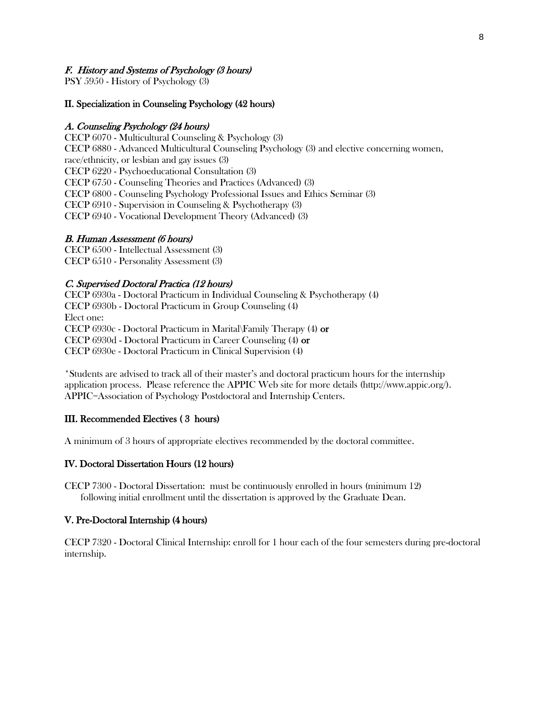# F. History and Systems of Psychology (3 hours)

PSY 5950 - History of Psychology (3)

## II. Specialization in Counseling Psychology (42 hours)

#### A. Counseling Psychology (24 hours)

CECP 6070 - Multicultural Counseling & Psychology (3) CECP 6880 - Advanced Multicultural Counseling Psychology (3) and elective concerning women, race/ethnicity, or lesbian and gay issues (3) CECP 6220 - Psychoeducational Consultation (3) CECP 6750 - Counseling Theories and Practices (Advanced) (3) CECP 6800 - Counseling Psychology Professional Issues and Ethics Seminar (3) CECP 6910 - Supervision in Counseling & Psychotherapy (3) CECP 6940 - Vocational Development Theory (Advanced) (3)

#### B. Human Assessment (6 hours)

CECP 6500 - Intellectual Assessment (3) CECP 6510 - Personality Assessment (3)

#### C. Supervised Doctoral Practica (12 hours)

CECP 6930a - Doctoral Practicum in Individual Counseling & Psychotherapy (4) CECP 6930b - Doctoral Practicum in Group Counseling (4) Elect one: CECP 6930c - Doctoral Practicum in Marital\Family Therapy (4) or CECP 6930d - Doctoral Practicum in Career Counseling (4) or CECP 6930e - Doctoral Practicum in Clinical Supervision (4)

\*Students are advised to track all of their master's and doctoral practicum hours for the internship application process. Please reference the APPIC Web site for more details (http://www.appic.org/). APPIC=Association of Psychology Postdoctoral and Internship Centers.

#### III. Recommended Electives ( 3 hours)

A minimum of 3 hours of appropriate electives recommended by the doctoral committee.

# IV. Doctoral Dissertation Hours (12 hours)

CECP 7300 - Doctoral Dissertation: must be continuously enrolled in hours (minimum 12) following initial enrollment until the dissertation is approved by the Graduate Dean.

#### V. Pre-Doctoral Internship (4 hours)

CECP 7320 - Doctoral Clinical Internship: enroll for 1 hour each of the four semesters during pre-doctoral internship.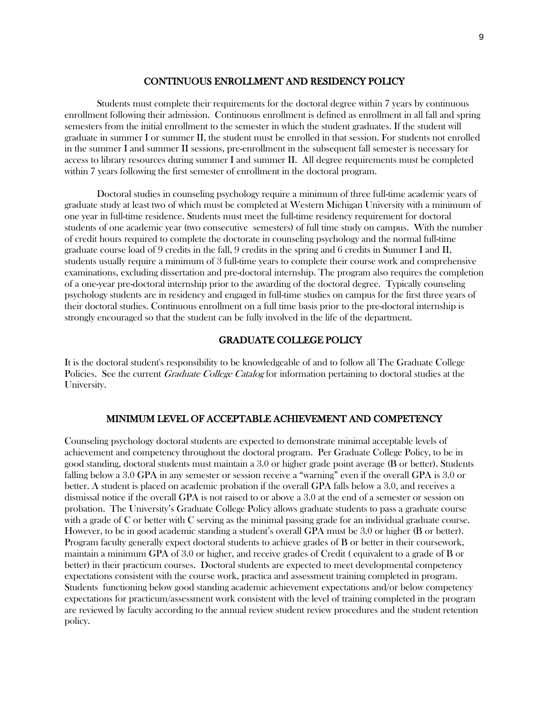## CONTINUOUS ENROLLMENT AND RESIDENCY POLICY

Students must complete their requirements for the doctoral degree within 7 years by continuous enrollment following their admission. Continuous enrollment is defined as enrollment in all fall and spring semesters from the initial enrollment to the semester in which the student graduates. If the student will graduate in summer I or summer II, the student must be enrolled in that session. For students not enrolled in the summer I and summer II sessions, pre-enrollment in the subsequent fall semester is necessary for access to library resources during summer I and summer II. All degree requirements must be completed within 7 years following the first semester of enrollment in the doctoral program.

Doctoral studies in counseling psychology require a minimum of three full-time academic years of graduate study at least two of which must be completed at Western Michigan University with a minimum of one year in full-time residence. Students must meet the full-time residency requirement for doctoral students of one academic year (two consecutive semesters) of full time study on campus. With the number of credit hours required to complete the doctorate in counseling psychology and the normal full-time graduate course load of 9 credits in the fall, 9 credits in the spring and 6 credits in Summer I and II, students usually require a minimum of 3 full-time years to complete their course work and comprehensive examinations, excluding dissertation and pre-doctoral internship. The program also requires the completion of a one-year pre-doctoral internship prior to the awarding of the doctoral degree. Typically counseling psychology students are in residency and engaged in full-time studies on campus for the first three years of their doctoral studies. Continuous enrollment on a full time basis prior to the pre-doctoral internship is strongly encouraged so that the student can be fully involved in the life of the department.

# GRADUATE COLLEGE POLICY

It is the doctoral student's responsibility to be knowledgeable of and to follow all The Graduate College Policies. See the current *Graduate College Catalog* for information pertaining to doctoral studies at the University.

## MINIMUM LEVEL OF ACCEPTABLE ACHIEVEMENT AND COMPETENCY

Counseling psychology doctoral students are expected to demonstrate minimal acceptable levels of achievement and competency throughout the doctoral program. Per Graduate College Policy, to be in good standing, doctoral students must maintain a 3.0 or higher grade point average (B or better). Students falling below a 3.0 GPA in any semester or session receive a "warning" even if the overall GPA is 3.0 or better. A student is placed on academic probation if the overall GPA falls below a 3.0, and receives a dismissal notice if the overall GPA is not raised to or above a 3.0 at the end of a semester or session on probation. The University's Graduate College Policy allows graduate students to pass a graduate course with a grade of C or better with C serving as the minimal passing grade for an individual graduate course. However, to be in good academic standing a student's overall GPA must be 3.0 or higher (B or better). Program faculty generally expect doctoral students to achieve grades of B or better in their coursework, maintain a minimum GPA of 3.0 or higher, and receive grades of Credit ( equivalent to a grade of B or better) in their practicum courses. Doctoral students are expected to meet developmental competency expectations consistent with the course work, practica and assessment training completed in program. Students functioning below good standing academic achievement expectations and/or below competency expectations for practicum/assessment work consistent with the level of training completed in the program are reviewed by faculty according to the annual review student review procedures and the student retention policy.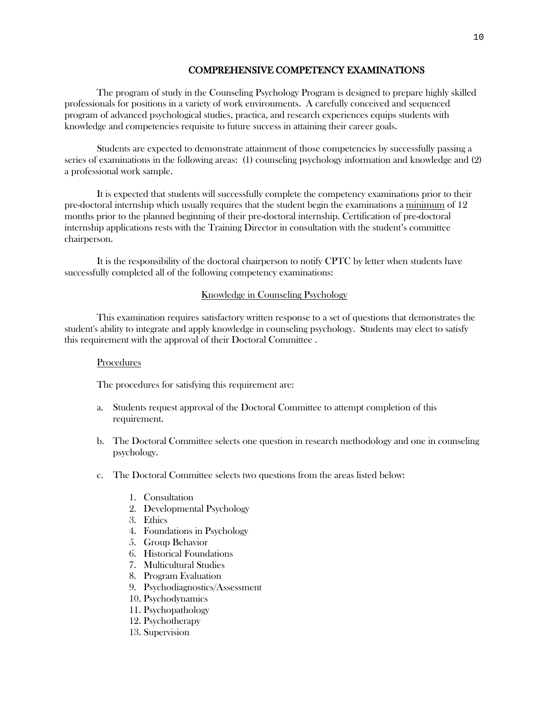# COMPREHENSIVE COMPETENCY EXAMINATIONS

The program of study in the Counseling Psychology Program is designed to prepare highly skilled professionals for positions in a variety of work environments. A carefully conceived and sequenced program of advanced psychological studies, practica, and research experiences equips students with knowledge and competencies requisite to future success in attaining their career goals.

Students are expected to demonstrate attainment of those competencies by successfully passing a series of examinations in the following areas: (1) counseling psychology information and knowledge and (2) a professional work sample.

It is expected that students will successfully complete the competency examinations prior to their pre-doctoral internship which usually requires that the student begin the examinations a minimum of 12 months prior to the planned beginning of their pre-doctoral internship. Certification of pre-doctoral internship applications rests with the Training Director in consultation with the student's committee chairperson.

It is the responsibility of the doctoral chairperson to notify CPTC by letter when students have successfully completed all of the following competency examinations:

# Knowledge in Counseling Psychology

This examination requires satisfactory written response to a set of questions that demonstrates the student's ability to integrate and apply knowledge in counseling psychology. Students may elect to satisfy this requirement with the approval of their Doctoral Committee .

#### Procedures

The procedures for satisfying this requirement are:

- a. Students request approval of the Doctoral Committee to attempt completion of this requirement.
- b. The Doctoral Committee selects one question in research methodology and one in counseling psychology.
- c. The Doctoral Committee selects two questions from the areas listed below:
	- 1. Consultation
	- 2. Developmental Psychology
	- 3. Ethics
	- 4. Foundations in Psychology
	- 5. Group Behavior
	- 6. Historical Foundations
	- 7. Multicultural Studies
	- 8. Program Evaluation
	- 9. Psychodiagnostics/Assessment
	- 10. Psychodynamics
	- 11. Psychopathology
	- 12. Psychotherapy
	- 13. Supervision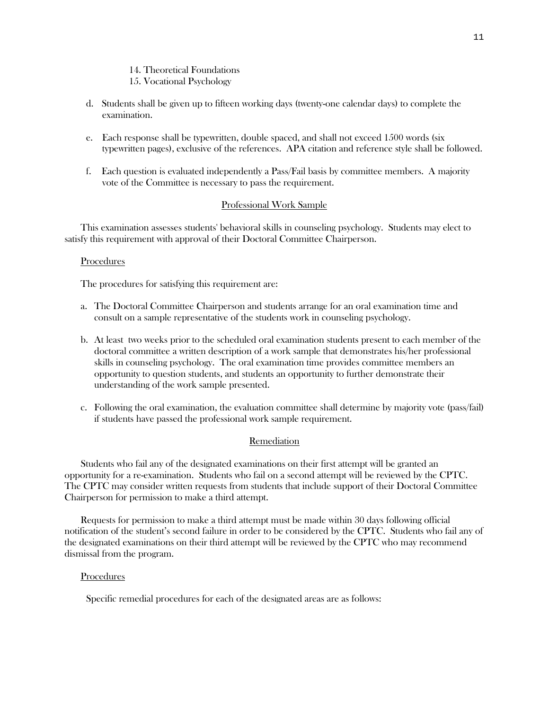#### 14. Theoretical Foundations 15. Vocational Psychology

- d. Students shall be given up to fifteen working days (twenty-one calendar days) to complete the examination.
- e. Each response shall be typewritten, double spaced, and shall not exceed 1500 words (six typewritten pages), exclusive of the references. APA citation and reference style shall be followed.
- f. Each question is evaluated independently a Pass/Fail basis by committee members. A majority vote of the Committee is necessary to pass the requirement.

## Professional Work Sample

This examination assesses students' behavioral skills in counseling psychology. Students may elect to satisfy this requirement with approval of their Doctoral Committee Chairperson.

#### **Procedures**

The procedures for satisfying this requirement are:

- a. The Doctoral Committee Chairperson and students arrange for an oral examination time and consult on a sample representative of the students work in counseling psychology.
- b. At least two weeks prior to the scheduled oral examination students present to each member of the doctoral committee a written description of a work sample that demonstrates his/her professional skills in counseling psychology. The oral examination time provides committee members an opportunity to question students, and students an opportunity to further demonstrate their understanding of the work sample presented.
- c. Following the oral examination, the evaluation committee shall determine by majority vote (pass/fail) if students have passed the professional work sample requirement.

## **Remediation**

Students who fail any of the designated examinations on their first attempt will be granted an opportunity for a re-examination. Students who fail on a second attempt will be reviewed by the CPTC. The CPTC may consider written requests from students that include support of their Doctoral Committee Chairperson for permission to make a third attempt.

Requests for permission to make a third attempt must be made within 30 days following official notification of the student's second failure in order to be considered by the CPTC. Students who fail any of the designated examinations on their third attempt will be reviewed by the CPTC who may recommend dismissal from the program.

# **Procedures**

Specific remedial procedures for each of the designated areas are as follows: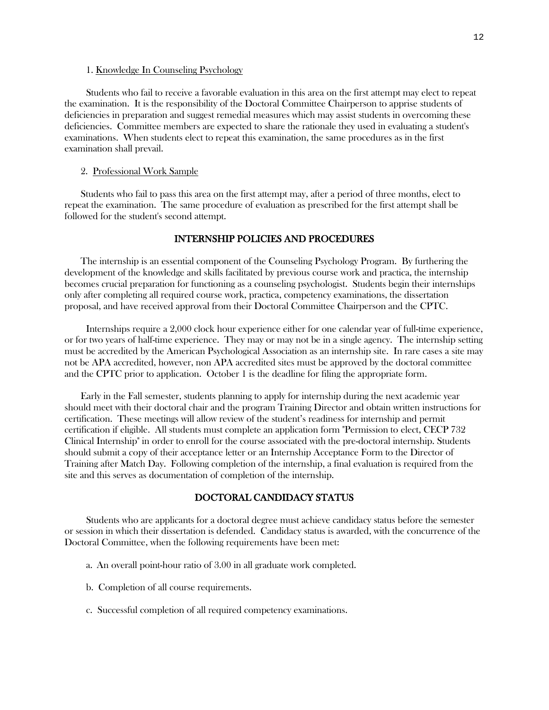#### 1. Knowledge In Counseling Psychology

Students who fail to receive a favorable evaluation in this area on the first attempt may elect to repeat the examination. It is the responsibility of the Doctoral Committee Chairperson to apprise students of deficiencies in preparation and suggest remedial measures which may assist students in overcoming these deficiencies. Committee members are expected to share the rationale they used in evaluating a student's examinations. When students elect to repeat this examination, the same procedures as in the first examination shall prevail.

#### 2. Professional Work Sample

Students who fail to pass this area on the first attempt may, after a period of three months, elect to repeat the examination. The same procedure of evaluation as prescribed for the first attempt shall be followed for the student's second attempt.

#### INTERNSHIP POLICIES AND PROCEDURES

The internship is an essential component of the Counseling Psychology Program. By furthering the development of the knowledge and skills facilitated by previous course work and practica, the internship becomes crucial preparation for functioning as a counseling psychologist. Students begin their internships only after completing all required course work, practica, competency examinations, the dissertation proposal, and have received approval from their Doctoral Committee Chairperson and the CPTC.

Internships require a 2,000 clock hour experience either for one calendar year of full-time experience, or for two years of half-time experience. They may or may not be in a single agency. The internship setting must be accredited by the American Psychological Association as an internship site. In rare cases a site may not be APA accredited, however, non APA accredited sites must be approved by the doctoral committee and the CPTC prior to application. October 1 is the deadline for filing the appropriate form.

Early in the Fall semester, students planning to apply for internship during the next academic year should meet with their doctoral chair and the program Training Director and obtain written instructions for certification. These meetings will allow review of the student's readiness for internship and permit certification if eligible. All students must complete an application form "Permission to elect, CECP 732 Clinical Internship" in order to enroll for the course associated with the pre-doctoral internship. Students should submit a copy of their acceptance letter or an Internship Acceptance Form to the Director of Training after Match Day. Following completion of the internship, a final evaluation is required from the site and this serves as documentation of completion of the internship.

# DOCTORAL CANDIDACY STATUS

Students who are applicants for a doctoral degree must achieve candidacy status before the semester or session in which their dissertation is defended. Candidacy status is awarded, with the concurrence of the Doctoral Committee, when the following requirements have been met:

- a. An overall point-hour ratio of 3.00 in all graduate work completed.
- b. Completion of all course requirements.
- c. Successful completion of all required competency examinations.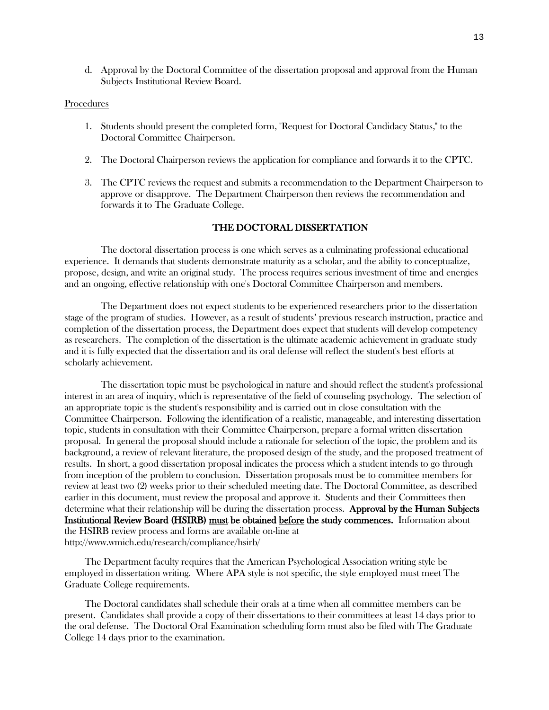d. Approval by the Doctoral Committee of the dissertation proposal and approval from the Human Subjects Institutional Review Board.

## Procedures

- 1. Students should present the completed form, "Request for Doctoral Candidacy Status," to the Doctoral Committee Chairperson.
- 2. The Doctoral Chairperson reviews the application for compliance and forwards it to the CPTC.
- 3. The CPTC reviews the request and submits a recommendation to the Department Chairperson to approve or disapprove. The Department Chairperson then reviews the recommendation and forwards it to The Graduate College.

## THE DOCTORAL DISSERTATION

The doctoral dissertation process is one which serves as a culminating professional educational experience. It demands that students demonstrate maturity as a scholar, and the ability to conceptualize, propose, design, and write an original study. The process requires serious investment of time and energies and an ongoing, effective relationship with one's Doctoral Committee Chairperson and members.

The Department does not expect students to be experienced researchers prior to the dissertation stage of the program of studies. However, as a result of students' previous research instruction, practice and completion of the dissertation process, the Department does expect that students will develop competency as researchers. The completion of the dissertation is the ultimate academic achievement in graduate study and it is fully expected that the dissertation and its oral defense will reflect the student's best efforts at scholarly achievement.

The dissertation topic must be psychological in nature and should reflect the student's professional interest in an area of inquiry, which is representative of the field of counseling psychology. The selection of an appropriate topic is the student's responsibility and is carried out in close consultation with the Committee Chairperson. Following the identification of a realistic, manageable, and interesting dissertation topic, students in consultation with their Committee Chairperson, prepare a formal written dissertation proposal. In general the proposal should include a rationale for selection of the topic, the problem and its background, a review of relevant literature, the proposed design of the study, and the proposed treatment of results. In short, a good dissertation proposal indicates the process which a student intends to go through from inception of the problem to conclusion. Dissertation proposals must be to committee members for review at least two (2) weeks prior to their scheduled meeting date. The Doctoral Committee, as described earlier in this document, must review the proposal and approve it. Students and their Committees then determine what their relationship will be during the dissertation process. Approval by the Human Subjects Institutional Review Board (HSIRB) must be obtained before the study commences. Information about the HSIRB review process and forms are available on-line at http://www.wmich.edu/research/compliance/hsirb/

The Department faculty requires that the American Psychological Association writing style be employed in dissertation writing. Where APA style is not specific, the style employed must meet The Graduate College requirements.

The Doctoral candidates shall schedule their orals at a time when all committee members can be present. Candidates shall provide a copy of their dissertations to their committees at least 14 days prior to the oral defense. The Doctoral Oral Examination scheduling form must also be filed with The Graduate College 14 days prior to the examination.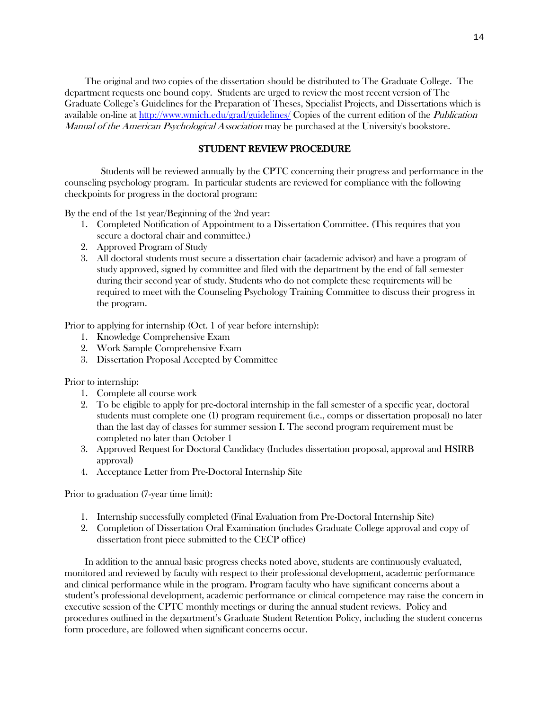The original and two copies of the dissertation should be distributed to The Graduate College. The department requests one bound copy. Students are urged to review the most recent version of The Graduate College's Guidelines for the Preparation of Theses, Specialist Projects, and Dissertations which is available on-line at<http://www.wmich.edu/grad/guidelines/> Copies of the current edition of the Publication Manual of the American Psychological Association may be purchased at the University's bookstore.

# STUDENT REVIEW PROCEDURE

Students will be reviewed annually by the CPTC concerning their progress and performance in the counseling psychology program. In particular students are reviewed for compliance with the following checkpoints for progress in the doctoral program:

By the end of the 1st year/Beginning of the 2nd year:

- 1. Completed Notification of Appointment to a Dissertation Committee. (This requires that you secure a doctoral chair and committee.)
- 2. Approved Program of Study
- 3. All doctoral students must secure a dissertation chair (academic advisor) and have a program of study approved, signed by committee and filed with the department by the end of fall semester during their second year of study. Students who do not complete these requirements will be required to meet with the Counseling Psychology Training Committee to discuss their progress in the program.

Prior to applying for internship (Oct. 1 of year before internship):

- 1. Knowledge Comprehensive Exam
- 2. Work Sample Comprehensive Exam
- 3. Dissertation Proposal Accepted by Committee

Prior to internship:

- 1. Complete all course work
- 2. To be eligible to apply for pre-doctoral internship in the fall semester of a specific year, doctoral students must complete one (1) program requirement (i.e., comps or dissertation proposal) no later than the last day of classes for summer session I. The second program requirement must be completed no later than October 1
- 3. Approved Request for Doctoral Candidacy (Includes dissertation proposal, approval and HSIRB approval)
- 4. Acceptance Letter from Pre-Doctoral Internship Site

Prior to graduation (7-year time limit):

- 1. Internship successfully completed (Final Evaluation from Pre-Doctoral Internship Site)
- 2. Completion of Dissertation Oral Examination (includes Graduate College approval and copy of dissertation front piece submitted to the CECP office)

In addition to the annual basic progress checks noted above, students are continuously evaluated, monitored and reviewed by faculty with respect to their professional development, academic performance and clinical performance while in the program. Program faculty who have significant concerns about a student's professional development, academic performance or clinical competence may raise the concern in executive session of the CPTC monthly meetings or during the annual student reviews. Policy and procedures outlined in the department's Graduate Student Retention Policy, including the student concerns form procedure, are followed when significant concerns occur.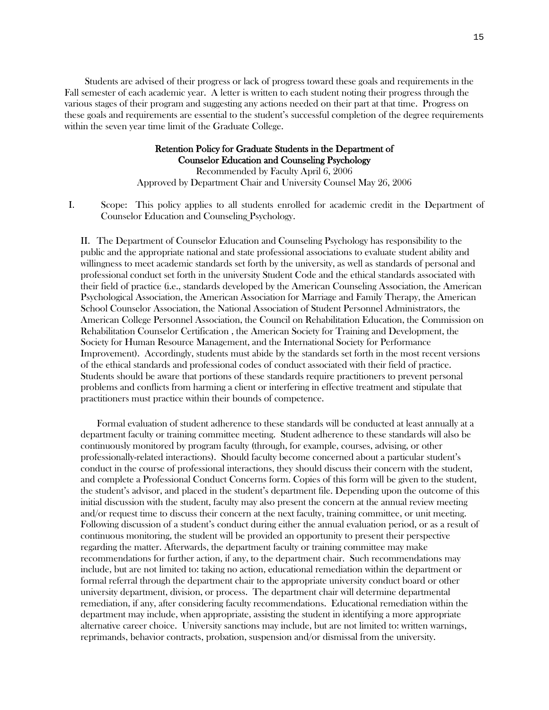Students are advised of their progress or lack of progress toward these goals and requirements in the Fall semester of each academic year. A letter is written to each student noting their progress through the various stages of their program and suggesting any actions needed on their part at that time. Progress on these goals and requirements are essential to the student's successful completion of the degree requirements within the seven year time limit of the Graduate College.

## Retention Policy for Graduate Students in the Department of Counselor Education and Counseling Psychology

Recommended by Faculty April 6, 2006 Approved by Department Chair and University Counsel May 26, 2006

I. Scope: This policy applies to all students enrolled for academic credit in the Department of Counselor Education and Counseling Psychology.

II. The Department of Counselor Education and Counseling Psychology has responsibility to the public and the appropriate national and state professional associations to evaluate student ability and willingness to meet academic standards set forth by the university, as well as standards of personal and professional conduct set forth in the university Student Code and the ethical standards associated with their field of practice (i.e., standards developed by the American Counseling Association, the American Psychological Association, the American Association for Marriage and Family Therapy, the American School Counselor Association, the National Association of Student Personnel Administrators, the American College Personnel Association, the Council on Rehabilitation Education, the Commission on Rehabilitation Counselor Certification , the American Society for Training and Development, the Society for Human Resource Management, and the International Society for Performance Improvement). Accordingly, students must abide by the standards set forth in the most recent versions of the ethical standards and professional codes of conduct associated with their field of practice. Students should be aware that portions of these standards require practitioners to prevent personal problems and conflicts from harming a client or interfering in effective treatment and stipulate that practitioners must practice within their bounds of competence.

Formal evaluation of student adherence to these standards will be conducted at least annually at a department faculty or training committee meeting. Student adherence to these standards will also be continuously monitored by program faculty (through, for example, courses, advising, or other professionally-related interactions). Should faculty become concerned about a particular student's conduct in the course of professional interactions, they should discuss their concern with the student, and complete a Professional Conduct Concerns form. Copies of this form will be given to the student, the student's advisor, and placed in the student's department file. Depending upon the outcome of this initial discussion with the student, faculty may also present the concern at the annual review meeting and/or request time to discuss their concern at the next faculty, training committee, or unit meeting. Following discussion of a student's conduct during either the annual evaluation period, or as a result of continuous monitoring, the student will be provided an opportunity to present their perspective regarding the matter. Afterwards, the department faculty or training committee may make recommendations for further action, if any, to the department chair. Such recommendations may include, but are not limited to: taking no action, educational remediation within the department or formal referral through the department chair to the appropriate university conduct board or other university department, division, or process. The department chair will determine departmental remediation, if any, after considering faculty recommendations. Educational remediation within the department may include, when appropriate, assisting the student in identifying a more appropriate alternative career choice. University sanctions may include, but are not limited to: written warnings, reprimands, behavior contracts, probation, suspension and/or dismissal from the university.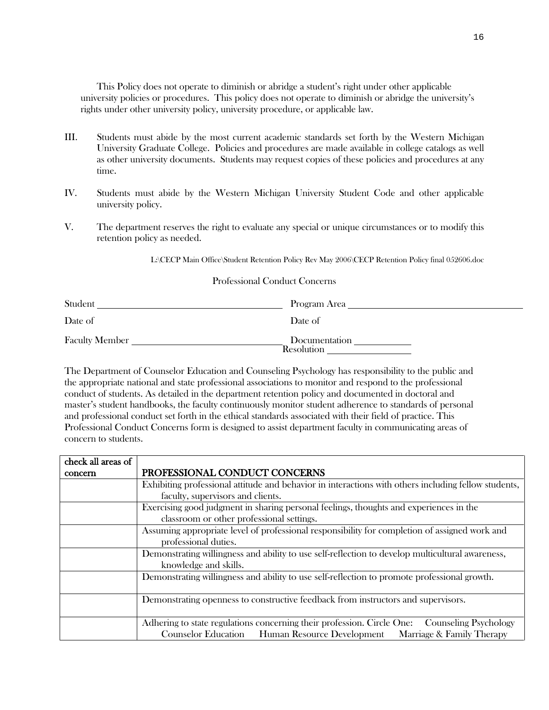This Policy does not operate to diminish or abridge a student's right under other applicable university policies or procedures. This policy does not operate to diminish or abridge the university's rights under other university policy, university procedure, or applicable law.

- III. Students must abide by the most current academic standards set forth by the Western Michigan University Graduate College. Policies and procedures are made available in college catalogs as well as other university documents. Students may request copies of these policies and procedures at any time.
- IV. Students must abide by the Western Michigan University Student Code and other applicable university policy.
- V. The department reserves the right to evaluate any special or unique circumstances or to modify this retention policy as needed.

L:\CECP Main Office\Student Retention Policy Rev May 2006\CECP Retention Policy final 052606.doc

## Professional Conduct Concerns

| Student               | Program Area                |
|-----------------------|-----------------------------|
| Date of               | Date of                     |
| <b>Faculty Member</b> | Documentation<br>Resolution |

The Department of Counselor Education and Counseling Psychology has responsibility to the public and the appropriate national and state professional associations to monitor and respond to the professional conduct of students. As detailed in the department retention policy and documented in doctoral and master's student handbooks, the faculty continuously monitor student adherence to standards of personal and professional conduct set forth in the ethical standards associated with their field of practice. This Professional Conduct Concerns form is designed to assist department faculty in communicating areas of concern to students.

| check all areas of |                                                                                                        |
|--------------------|--------------------------------------------------------------------------------------------------------|
| concern            | PROFESSIONAL CONDUCT CONCERNS                                                                          |
|                    | Exhibiting professional attitude and behavior in interactions with others including fellow students,   |
|                    | faculty, supervisors and clients.                                                                      |
|                    | Exercising good judgment in sharing personal feelings, thoughts and experiences in the                 |
|                    | classroom or other professional settings.                                                              |
|                    | Assuming appropriate level of professional responsibility for completion of assigned work and          |
|                    | professional duties.                                                                                   |
|                    | Demonstrating willingness and ability to use self-reflection to develop multicultural awareness,       |
|                    | knowledge and skills.                                                                                  |
|                    | Demonstrating willingness and ability to use self-reflection to promote professional growth.           |
|                    |                                                                                                        |
|                    | Demonstrating openness to constructive feedback from instructors and supervisors.                      |
|                    |                                                                                                        |
|                    | Adhering to state regulations concerning their profession. Circle One:<br><b>Counseling Psychology</b> |
|                    | Marriage & Family Therapy<br><b>Counselor Education</b> Human Resource Development                     |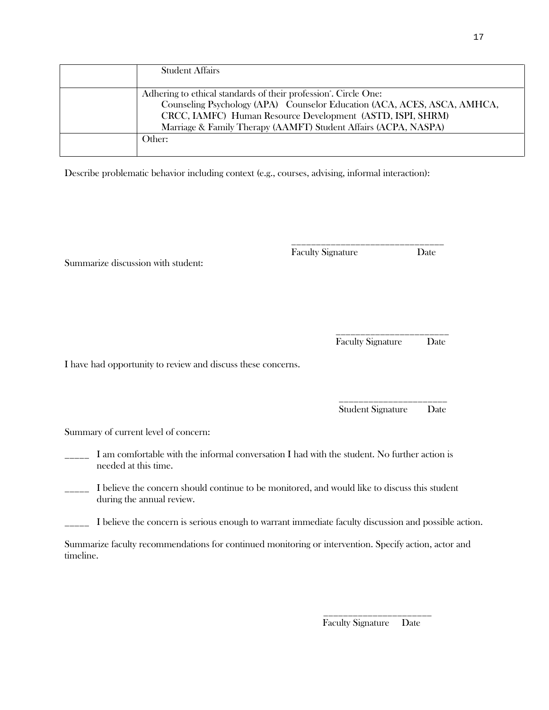| <b>Student Affairs</b>                                                                                                                                                                                                                                                                    |
|-------------------------------------------------------------------------------------------------------------------------------------------------------------------------------------------------------------------------------------------------------------------------------------------|
| Adhering to ethical standards of their profession <sup>2</sup> . Circle One:<br>Counseling Psychology (APA) Counselor Education (ACA, ACES, ASCA, AMHCA,<br>CRCC, IAMFC) Human Resource Development (ASTD, ISPI, SHRM)<br>Marriage & Family Therapy (AAMFT) Student Affairs (ACPA, NASPA) |
| Other:                                                                                                                                                                                                                                                                                    |

Describe problematic behavior including context (e.g., courses, advising, informal interaction):

\_\_\_\_\_\_\_\_\_\_\_\_\_\_\_\_\_\_\_\_\_\_\_\_\_\_\_\_\_\_\_

Summarize discussion with student:

 \_\_\_\_\_\_\_\_\_\_\_\_\_\_\_\_\_\_\_\_\_\_\_ Faculty Signature Date

Faculty Signature Date

I have had opportunity to review and discuss these concerns.

Student Signature Date

Summary of current level of concern:

I am comfortable with the informal conversation I had with the student. No further action is needed at this time.

\_\_\_\_\_\_\_\_\_\_\_\_\_\_\_\_\_\_\_\_\_\_

I believe the concern should continue to be monitored, and would like to discuss this student during the annual review.

\_\_\_\_\_ I believe the concern is serious enough to warrant immediate faculty discussion and possible action.

Summarize faculty recommendations for continued monitoring or intervention. Specify action, actor and timeline.

\_\_\_\_\_\_\_\_\_\_\_\_\_\_\_\_\_\_\_\_\_\_

Faculty Signature Date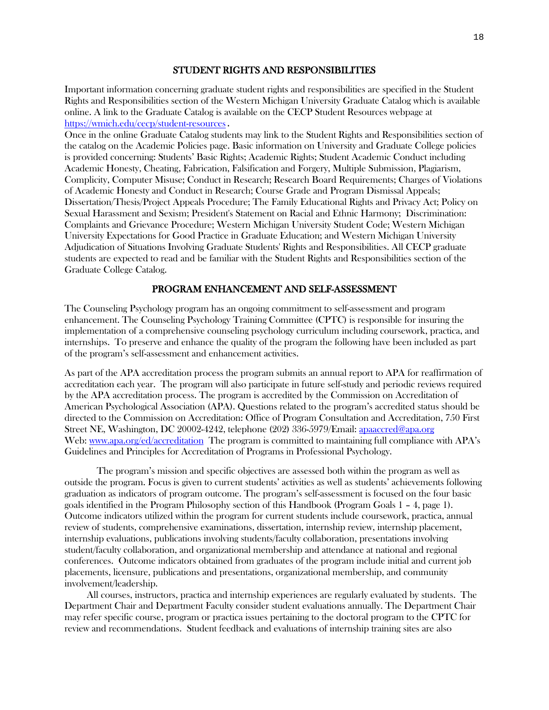# STUDENT RIGHTS AND RESPONSIBILITIES

Important information concerning graduate student rights and responsibilities are specified in the Student Rights and Responsibilities section of the Western Michigan University Graduate Catalog which is available online. A link to the Graduate Catalog is available on the CECP Student Resources webpage at <https://wmich.edu/cecp/student-resources>.

Once in the online Graduate Catalog students may link to the Student Rights and Responsibilities section of the catalog on the Academic Policies page. Basic information on University and Graduate College policies is provided concerning: Students' Basic Rights; Academic Rights; Student Academic Conduct including Academic Honesty, Cheating, Fabrication, Falsification and Forgery, Multiple Submission, Plagiarism, Complicity, Computer Misuse; Conduct in Research; Research Board Requirements; Charges of Violations of Academic Honesty and Conduct in Research; Course Grade and Program Dismissal Appeals; Dissertation/Thesis/Project Appeals Procedure; The Family Educational Rights and Privacy Act; Policy on Sexual Harassment and Sexism; President's Statement on Racial and Ethnic Harmony; Discrimination: Complaints and Grievance Procedure; Western Michigan University Student Code; Western Michigan University Expectations for Good Practice in Graduate Education; and Western Michigan University Adjudication of Situations Involving Graduate Students' Rights and Responsibilities. All CECP graduate students are expected to read and be familiar with the Student Rights and Responsibilities section of the Graduate College Catalog.

## PROGRAM ENHANCEMENT AND SELF-ASSESSMENT

The Counseling Psychology program has an ongoing commitment to self-assessment and program enhancement. The Counseling Psychology Training Committee (CPTC) is responsible for insuring the implementation of a comprehensive counseling psychology curriculum including coursework, practica, and internships. To preserve and enhance the quality of the program the following have been included as part of the program's self-assessment and enhancement activities.

As part of the APA accreditation process the program submits an annual report to APA for reaffirmation of accreditation each year. The program will also participate in future self-study and periodic reviews required by the APA accreditation process. The program is accredited by the Commission on Accreditation of American Psychological Association (APA). Questions related to the program's accredited status should be directed to the Commission on Accreditation: Office of Program Consultation and Accreditation, 750 First Street NE, Washington, DC 20002-4242, telephone (202) 336-5979/Email: [apaaccred@apa.org](mailto:apaaccred@apa.org) Web: [www.apa.org/ed/accreditation](http://www.apa.org/ed/accreditation) The program is committed to maintaining full compliance with APA's Guidelines and Principles for Accreditation of Programs in Professional Psychology.

The program's mission and specific objectives are assessed both within the program as well as outside the program. Focus is given to current students' activities as well as students' achievements following graduation as indicators of program outcome. The program's self-assessment is focused on the four basic goals identified in the Program Philosophy section of this Handbook (Program Goals 1 – 4, page 1). Outcome indicators utilized within the program for current students include coursework, practica, annual review of students, comprehensive examinations, dissertation, internship review, internship placement, internship evaluations, publications involving students/faculty collaboration, presentations involving student/faculty collaboration, and organizational membership and attendance at national and regional conferences. Outcome indicators obtained from graduates of the program include initial and current job placements, licensure, publications and presentations, organizational membership, and community involvement/leadership.

 All courses, instructors, practica and internship experiences are regularly evaluated by students. The Department Chair and Department Faculty consider student evaluations annually. The Department Chair may refer specific course, program or practica issues pertaining to the doctoral program to the CPTC for review and recommendations. Student feedback and evaluations of internship training sites are also